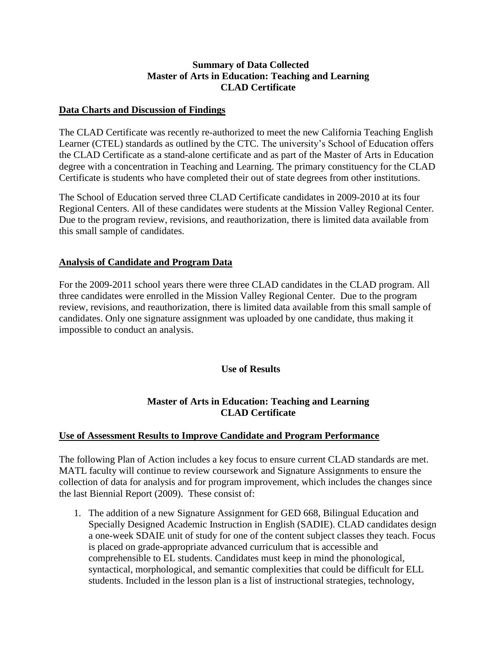# **Summary of Data Collected Master of Arts in Education: Teaching and Learning CLAD Certificate**

# **Data Charts and Discussion of Findings**

The CLAD Certificate was recently re-authorized to meet the new California Teaching English Learner (CTEL) standards as outlined by the CTC. The university's School of Education offers the CLAD Certificate as a stand-alone certificate and as part of the Master of Arts in Education degree with a concentration in Teaching and Learning. The primary constituency for the CLAD Certificate is students who have completed their out of state degrees from other institutions.

The School of Education served three CLAD Certificate candidates in 2009-2010 at its four Regional Centers. All of these candidates were students at the Mission Valley Regional Center. Due to the program review, revisions, and reauthorization, there is limited data available from this small sample of candidates.

# **Analysis of Candidate and Program Data**

For the 2009-2011 school years there were three CLAD candidates in the CLAD program. All three candidates were enrolled in the Mission Valley Regional Center. Due to the program review, revisions, and reauthorization, there is limited data available from this small sample of candidates. Only one signature assignment was uploaded by one candidate, thus making it impossible to conduct an analysis.

### **Use of Results**

# **Master of Arts in Education: Teaching and Learning CLAD Certificate**

### **Use of Assessment Results to Improve Candidate and Program Performance**

The following Plan of Action includes a key focus to ensure current CLAD standards are met. MATL faculty will continue to review coursework and Signature Assignments to ensure the collection of data for analysis and for program improvement, which includes the changes since the last Biennial Report (2009). These consist of:

1. The addition of a new Signature Assignment for GED 668, Bilingual Education and Specially Designed Academic Instruction in English (SADIE). CLAD candidates design a one-week SDAIE unit of study for one of the content subject classes they teach. Focus is placed on grade-appropriate advanced curriculum that is accessible and comprehensible to EL students. Candidates must keep in mind the phonological, syntactical, morphological, and semantic complexities that could be difficult for ELL students. Included in the lesson plan is a list of instructional strategies, technology,